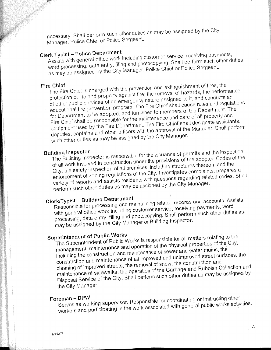necessary. Shall perform such other duties as may be assigned by the City<br>Manager, Police Chief or Police Sergeant.

# working as Serves Responsible supervisor. Coordination in supervisor. Coordination in supervisor. Coordination<br>The Serves Responsible supervisor. Coordination in the coordination of the coordination of the coordination of

 $\alpha$  may be all  $\beta$ . as may be assigned by the City Manager, Police Chief or Police Sergeant. word processing, data entry, filing and photocopying. Shall perform such other duties

4

Such other duties as may be assigned by the City Manager.<br>Building Inspector Fire Chief shall be responsible for the maintenance and care of all property and equipment used by the Fire Department. The Fire Chief shall designate assistants, deputies, captains and other officers with the approval of of other public services of an emergency nature assigned to it, and conducts an educational fire prevention program. The Fire Chief shall cause rules and regulations for Department to be adopted, and furnished to members o Fire Chief<br>The Fire Chief is charged with the prevention and extinguishment of fires, the<br>protection of life and property against fire, the removal of hazards, the performance<br>protection of life and property against fire, e Chief<br>Fig. 6 is charged with the prevention and extinguishment of fire

perform such other duties as may be assigned by the City Manager. enforcement of zoning regulations of the City. Investigates complaints, prepares a<br>variety of reports and assists residents with questions regarding related codes. Shall The Building Inspector is responsible for the issuance of permits and the inspection<br>of all work involved in construction under the provisions of the adopted Codes of the<br>City, the safety inspection of all premises, includ

with general office work including customer service, receiving payments, word<br>processing, data entry, filing and photocopying. Shall perform such other duties as<br>may be assigned by the City Manager or Building Inspector. Clerk/Typist - Building Department<br>Responsible for processing and maintaining related records and accounts. Assists

# shall Chief Fire responsible be maintenance the for property all of care and and

processing, which is and filing performance of the control of the city Manager. manneriance of state<br>Disposal Service of the City. Shall perform such other duties as may be cleaning of improved streets, the removal of snow, the construction and<br>maintenance of sidewalks, the operation of the Garbage and Rubbish Collection and including the sense maintenance of all improved and unimproved street sum<br>construction and maintenance of all improved and unimproved street su management, manusham.<br>including the construction and maintenance of sewer and water mains, including the construction and maintenance including the construction and maintenance of sewer and water mains, the Superintendent of Public Works<br>The Superintendent of Public Works is responsible for all matters relating to the<br>management, maintenance and operation of the physical properties of the City, Superintendent of Public Works<br>Fig. Cunsriptendent of Public Works is responsible for all matters relations

workers and participating in the work associated with general public works activities. the City Manager.<br>
Foreman – DPW<br>
Serves as working supervisor. Responsible for coordinating or instructing other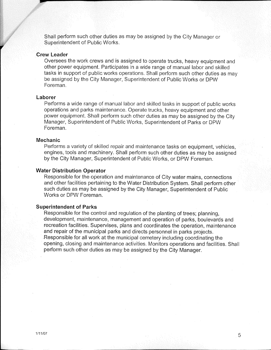Shall perform such other duties as may be assigned by the City Manager or Superintendent of Public Works.

1/11/07 5/11/07 5/11/07 5/11/07 5/11/07 5/11/07 5/11/07 5/11/07 5/11/07 5/11/07 5/11/07 5/11/07 5/11/07 5/11/0<br>1/11/07 5/11/07 5/11/07 5/11/07 5/11/07 5/11/07 5/11/07 5/11/07 5/11/07 5/11/07 5/11/07 5/11/07 5/11/07 5/11/0<br>

### **Crew Leader**

Oversees the work crews and is assigned to operate trucks, heavy equipment and other power equipment. Participates in a wide range of manual labor and skilled tasks in support of public works operations. Shall perform such other duties as may be assigned by the City Manager, Superintendent of Public Works or DPW Foreman.

### Laborer

and boulevards parks, of operation and management management management management management management, deve Manager, Superintendent of Public Works, Superintendent of Parks or DPW<br>Foreman. power equipment. Shall perform such other duties as may be assigned by the City operations and parks maintenance. Operate trucks, heavy equipment and other Performs a wide range of manual fabor and skilled tasks in support of public wo Manager. City the by assigned be may as duties other such perform

## planning, trees; of planting the of regulation and control the for Responsible

by the City Manager, Superintendent of Public Works, or DPW Foreman. engines, tools and machinery. Shall perform such other duties as may be assigned Performs a variety of skilled repair and maintenance tasks on equipment, vehicles,

### connections mains, water City of maintenance and operation the for Responsible **Water Distribution Operator**

Works or DPW Foreman. such duties as may be assigned by the City Manager, Superintendent of Public **Operator Distribution Water** 

## vehicles, equipment, on tasks maintenance and repair skilled of variety and repair skilled of variety a Performs a Performs a Performs and repair skilled of variety and repair skilled of variety and variety and variety an

opening, closing and maintenance activities. Monitors operations and facilities. Shall perform such other duties as may be assigned by the City Manager. Responsible for all work at the municipal cemetery including coordinating the and repair of the municipal parks and directs personnel in parks projects. recreation facilities. Supervises, plans and coordinates the operation, maintenance development, maintenance, management and operation of parks, boulevards and Responsible for the control and regulation of the planting of trees; planning,

and labor manual of range wide a in Participates equipment. power other

may as duties other such performance of such performance of such performance of support in tasks of support in<br>The support in tasks of support in tasks of support in tasks of support in tasks of support in the support in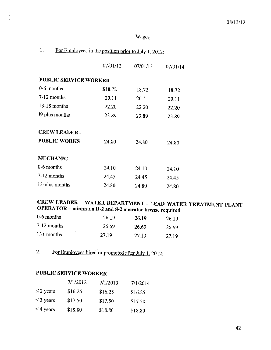## Wages

 $\mathcal{L}$ 

 $\bar{z}$ 

| For Employees in the position prior to July 1, 2012: |
|------------------------------------------------------|
|------------------------------------------------------|

|                              | 07/01/12 | 07/01/13 | 07/01/14 |
|------------------------------|----------|----------|----------|
| <b>PUBLIC SERVICE WORKER</b> |          |          |          |
| 0-6 months                   | \$18.72  | 18.72    | 18.72    |
| 7-12 months                  | 20.11    | 20.11    | 20.11    |
| $13-18$ months               | 22.20    | 22.20    | 22.20    |
| 19 plus months               | 23.89    | 23.89    | 23.89    |
| <b>CREW LEADER -</b>         |          |          |          |
| <b>PUBLIC WORKS</b>          | 24.80    | 24.80    | 24.80    |
| <b>MECHANIC</b>              |          |          |          |
| 0-6 months                   | 24.10    | 24.10    | 24.10    |
| 7-12 months                  | 24.45    | 24.45    | 24.45    |
| 13-plus months               | 24.80    | 24.80    | 24.80    |

## CREW LEADER - WATER DEPARTMENT - LEAD WATER TREATMENT PLANT OPERATOR - minimum D-2 and S-2 operator license required

| $0-6$ months  | 26.19 | 26.19 | 26.19 |
|---------------|-------|-------|-------|
| $7-12$ months | 26.69 | 26.69 | 26.69 |
| $13+$ months  | 27.19 | 27.19 | 27.19 |

For Employees hired or promoted after July 1, 2012:  $2.$ 

## **PUBLIC SERVICE WORKER**

|                | 7/1/2012 | 7/1/2013 | 7/1/2014 |
|----------------|----------|----------|----------|
| $\leq$ 2 years | \$16.25  | \$16.25  | \$16.25  |
| $\leq$ 3 years | \$17.50  | \$17.50  | \$17.50  |
| $\leq$ 4 years | \$18.80  | \$18.80  | \$18.80  |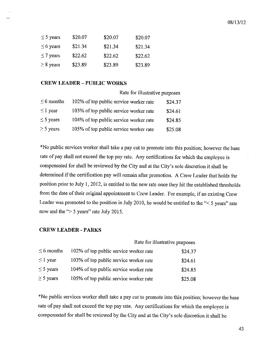| $\leq$ 5 years | \$20.07 | \$20.07 | \$20.07 |
|----------------|---------|---------|---------|
| $\leq 6$ years | \$21.34 | \$21.34 | \$21.34 |
| $\leq$ 7 years | \$22.62 | \$22.62 | \$22.62 |
| $\geq$ 8 years | \$23.89 | \$23.89 | \$23.89 |

## **CREW LEADER - PUBLIC WORKS**

|                 | Rate for illustrative purposes         |         |  |
|-----------------|----------------------------------------|---------|--|
| $\leq$ 6 months | 102% of top public service worker rate | \$24.37 |  |
| $\leq$ 1 year   | 103% of top public service worker rate | \$24.61 |  |
| $\leq$ 5 years  | 104% of top public service worker rate | \$24.85 |  |
| $\geq$ 5 years  | 105% of top public service worker rate | \$25.08 |  |

\*No public services worker shall take a pay cut to promote into this position; however the base rate of pay shall not exceed the top pay rate. Any certifications for which the employee is compensated for shall be reviewed by the City and at the City's sole discretion it shall be determined if the certification pay will remain after promotion. A Crew Leader that holds the position prior to July 1, 2012, is entitled to the new rate once they hit the established thresholds from the date of their original appointment to Crew Leader. For example, if an existing Crew Leader was promoted to the position in July 2010, he would be entitled to the "< 5 years" rate now and the " $> 5$  years" rate July 2015.

## **CREW LEADER - PARKS**

|                 | Rate for illustrative purposes         |         |
|-----------------|----------------------------------------|---------|
| $\leq$ 6 months | 102% of top public service worker rate | \$24.37 |
| $\leq$ 1 year   | 103% of top public service worker rate | \$24.61 |
| $\leq$ 5 years  | 104% of top public service worker rate | \$24.85 |
| $\geq$ 5 years  | 105% of top public service worker rate | \$25.08 |

\*No public services worker shall take a pay cut to promote into this position; however the base rate of pay shall not exceed the top pay rate. Any certifications for which the employee is compensated for shall be reviewed by the City and at the City's sole discretion it shall be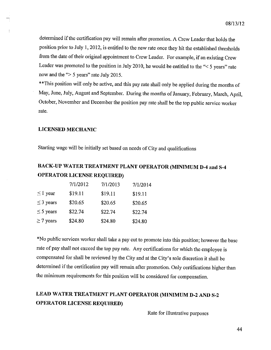determined if the certification pay will remain after promotion. A Crew Leader that holds the position prior to July 1, 2012, is entitled to the new rate once they hit the established thresholds from the date of their original appointment to Crew Leader. For example, if an existing Crew Leader was promoted to the position in July 2010, he would be entitled to the "< 5 years" rate now and the " $> 5$  years" rate July 2015.

\*\* This position will only be active, and this pay rate shall only be applied during the months of May, June, July, August and September. During the months of January, February, March, April, October, November and December the position pay rate shall be the top public service worker rate.

### **LICENSED MECHANIC**

Starting wage will be initially set based on needs of City and qualifications

## BACK-UP WATER TREATMENT PLANT OPERATOR (MINIMUM D-4 and S-4 **OPERATOR LICENSE REQUIRED)**

|                | 7/1/2012 | 7/1/2013 | 7/1/2014 |
|----------------|----------|----------|----------|
| $\leq 1$ year  | \$19.11  | \$19.11  | \$19.11  |
| $\leq$ 3 years | \$20.65  | \$20.65  | \$20.65  |
| $\leq$ 5 years | \$22.74  | \$22.74  | \$22.74  |
| $\geq$ 7 years | \$24.80  | \$24.80  | \$24.80  |

\*No public services worker shall take a pay cut to promote into this position; however the base rate of pay shall not exceed the top pay rate. Any certifications for which the employee is compensated for shall be reviewed by the City and at the City's sole discretion it shall be determined if the certification pay will remain after promotion. Only certifications higher than the minimum requirements for this position will be considered for compensation.

## LEAD WATER TREATMENT PLANT OPERATOR (MINIMUM D-2 AND S-2 **OPERATOR LICENSE REQUIRED)**

Rate for illustrative purposes